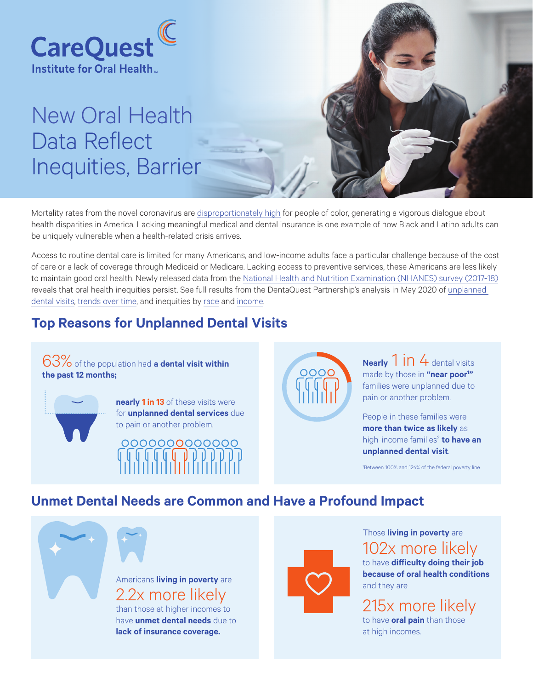

# New Oral Health Data Reflect Inequities, Barrier



Mortality rates from the novel coronavirus are [disproportionately high](https://www.npr.org/2020/04/12/832455226/what-coronavirus-exposes-about-americas-political-divide) for people of color, generating a vigorous dialogue about health disparities in America. Lacking meaningful medical and dental insurance is one example of how Black and Latino adults can be uniquely vulnerable when a health-related crisis arrives.

Access to routine dental care is limited for many Americans, and low-income adults face a particular challenge because of the cost of care or a lack of coverage through Medicaid or Medicare. Lacking access to preventive services, these Americans are less likely to maintain good oral health. Newly released data from the [National Health and Nutrition Examination \(NHANES\) survey \(2017-18\)](https://www.cdc.gov/nchs/nhanes/) reveals that oral health inequities persist. See full results from the DentaQuest Partnership's analysis in May 2020 of [unplanned](https://public.tableau.com/profile/dentaquest.partnership#!/vizhome/NHANESInfographic-UnplannedDental/Dashboard1)  [dental visits](https://public.tableau.com/profile/dentaquest.partnership#!/vizhome/NHANESInfographic-UnplannedDental/Dashboard1), [trends over time](https://public.tableau.com/profile/dentaquest.partnership#!/vizhome/NHANESInfographicbyYear/Dashboard), and inequities by [race](https://public.tableau.com/profile/dentaquest.partnership#!/vizhome/NHANESInfographicbyRace/Dashboard2) and [income](https://public.tableau.com/profile/dentaquest.partnership#!/vizhome/NHANESInfographicbyIncome/Dashboard1).

# **Top Reasons for Unplanned Dental Visits**

63%of the population had **a dental visit within the past 12 months;**



**nearly 1 in 13** of these visits were for **unplanned dental services** due to pain or another problem.

000000000000



**Nearly** 1 **in** 4 dental visits made by those in **"near poor1 "**  families were unplanned due to pain or another problem.

People in these families were **more than twice as likely** as high-income families<sup>2</sup> to have an **unplanned dental visit**.

1 Between 100% and 124% of the federal poverty line

## **Unmet Dental Needs are Common and Have a Profound Impact**

Americans **living in poverty** are 2.2x more likely

than those at higher incomes to have **unmet dental needs** due to **lack of insurance coverage.**



Those **living in poverty** are

102x more likely

to have **difficulty doing their job because of oral health conditions** and they are

# 215x more likely

to have **oral pain** than those at high incomes.